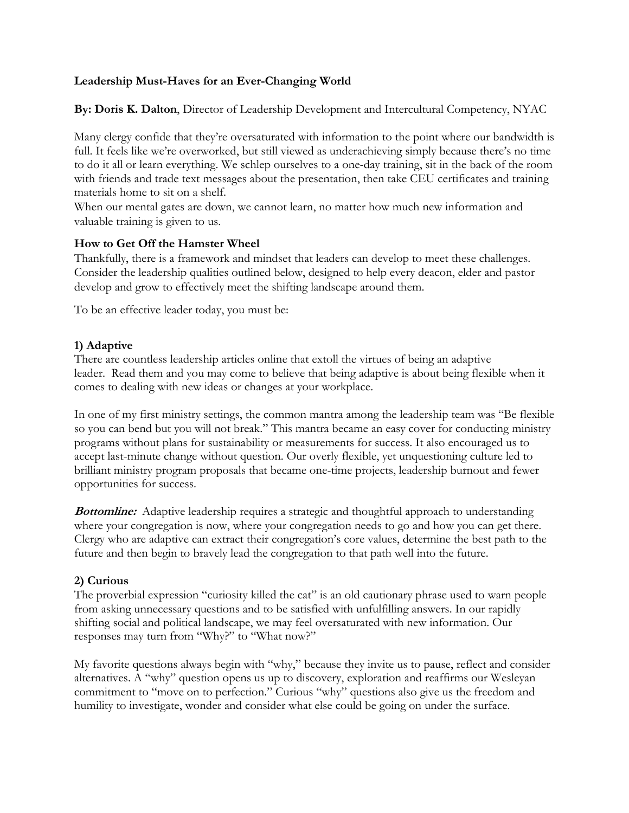# **Leadership Must-Haves for an Ever-Changing World**

**By: Doris K. Dalton**, Director of Leadership Development and Intercultural Competency, NYAC

Many clergy confide that they're oversaturated with information to the point where our bandwidth is full. It feels like we're overworked, but still viewed as underachieving simply because there's no time to do it all or learn everything. We schlep ourselves to a one-day training, sit in the back of the room with friends and trade text messages about the presentation, then take CEU certificates and training materials home to sit on a shelf.

When our mental gates are down, we cannot learn, no matter how much new information and valuable training is given to us.

### **How to Get Off the Hamster Wheel**

Thankfully, there is a framework and mindset that leaders can develop to meet these challenges. Consider the leadership qualities outlined below, designed to help every deacon, elder and pastor develop and grow to effectively meet the shifting landscape around them.

To be an effective leader today, you must be:

# **1) Adaptive**

There are countless leadership articles online that extoll the virtues of being an adaptive leader. Read them and you may come to believe that being adaptive is about being flexible when it comes to dealing with new ideas or changes at your workplace.

In one of my first ministry settings, the common mantra among the leadership team was "Be flexible so you can bend but you will not break." This mantra became an easy cover for conducting ministry programs without plans for sustainability or measurements for success. It also encouraged us to accept last-minute change without question. Our overly flexible, yet unquestioning culture led to brilliant ministry program proposals that became one-time projects, leadership burnout and fewer opportunities for success.

**Bottomline:** Adaptive leadership requires a strategic and thoughtful approach to understanding where your congregation is now, where your congregation needs to go and how you can get there. Clergy who are adaptive can extract their congregation's core values, determine the best path to the future and then begin to bravely lead the congregation to that path well into the future.

### **2) Curious**

The proverbial expression "curiosity killed the cat" is an old cautionary phrase used to warn people from asking unnecessary questions and to be satisfied with unfulfilling answers. In our rapidly shifting social and political landscape, we may feel oversaturated with new information. Our responses may turn from "Why?" to "What now?"

My favorite questions always begin with "why," because they invite us to pause, reflect and consider alternatives. A "why" question opens us up to discovery, exploration and reaffirms our Wesleyan commitment to "move on to perfection." Curious "why" questions also give us the freedom and humility to investigate, wonder and consider what else could be going on under the surface.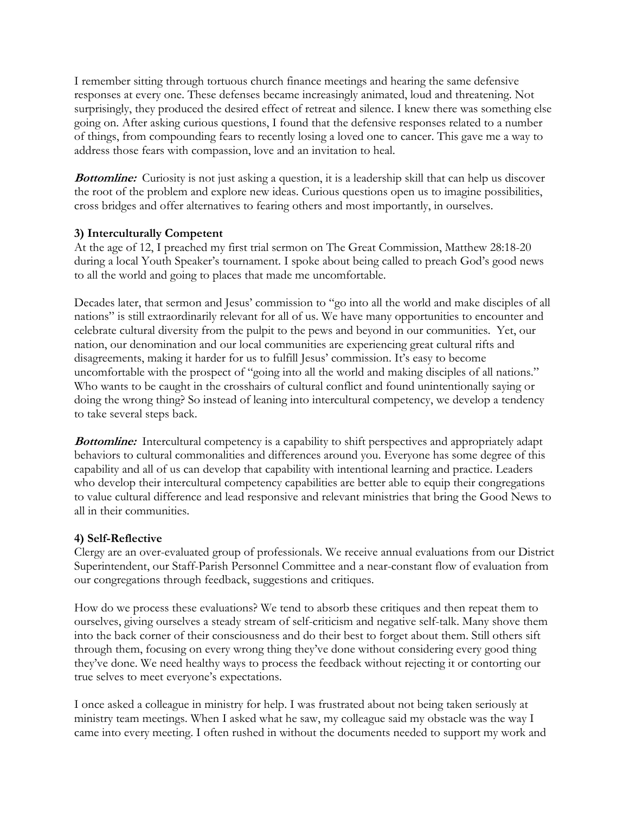I remember sitting through tortuous church finance meetings and hearing the same defensive responses at every one. These defenses became increasingly animated, loud and threatening. Not surprisingly, they produced the desired effect of retreat and silence. I knew there was something else going on. After asking curious questions, I found that the defensive responses related to a number of things, from compounding fears to recently losing a loved one to cancer. This gave me a way to address those fears with compassion, love and an invitation to heal.

**Bottomline:** Curiosity is not just asking a question, it is a leadership skill that can help us discover the root of the problem and explore new ideas. Curious questions open us to imagine possibilities, cross bridges and offer alternatives to fearing others and most importantly, in ourselves.

### **3) Interculturally Competent**

At the age of 12, I preached my first trial sermon on The Great Commission, Matthew 28:18-20 during a local Youth Speaker's tournament. I spoke about being called to preach God's good news to all the world and going to places that made me uncomfortable.

Decades later, that sermon and Jesus' commission to "go into all the world and make disciples of all nations" is still extraordinarily relevant for all of us. We have many opportunities to encounter and celebrate cultural diversity from the pulpit to the pews and beyond in our communities. Yet, our nation, our denomination and our local communities are experiencing great cultural rifts and disagreements, making it harder for us to fulfill Jesus' commission. It's easy to become uncomfortable with the prospect of "going into all the world and making disciples of all nations." Who wants to be caught in the crosshairs of cultural conflict and found unintentionally saying or doing the wrong thing? So instead of leaning into intercultural competency, we develop a tendency to take several steps back.

**Bottomline:** Intercultural competency is a capability to shift perspectives and appropriately adapt behaviors to cultural commonalities and differences around you. Everyone has some degree of this capability and all of us can develop that capability with intentional learning and practice. Leaders who develop their intercultural competency capabilities are better able to equip their congregations to value cultural difference and lead responsive and relevant ministries that bring the Good News to all in their communities.

### **4) Self-Reflective**

Clergy are an over-evaluated group of professionals. We receive annual evaluations from our District Superintendent, our Staff-Parish Personnel Committee and a near-constant flow of evaluation from our congregations through feedback, suggestions and critiques.

How do we process these evaluations? We tend to absorb these critiques and then repeat them to ourselves, giving ourselves a steady stream of self-criticism and negative self-talk. Many shove them into the back corner of their consciousness and do their best to forget about them. Still others sift through them, focusing on every wrong thing they've done without considering every good thing they've done. We need healthy ways to process the feedback without rejecting it or contorting our true selves to meet everyone's expectations.

I once asked a colleague in ministry for help. I was frustrated about not being taken seriously at ministry team meetings. When I asked what he saw, my colleague said my obstacle was the way I came into every meeting. I often rushed in without the documents needed to support my work and